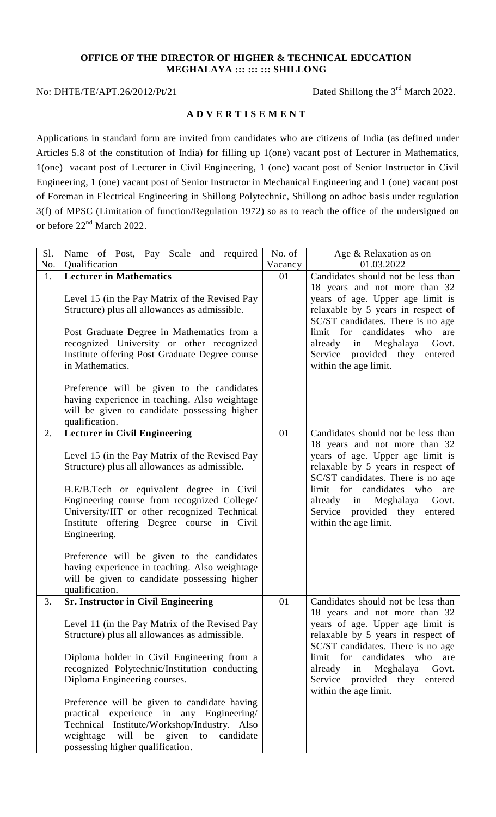## **OFFICE OF THE DIRECTOR OF HIGHER & TECHNICAL EDUCATION MEGHALAYA ::: ::: ::: SHILLONG**

## No: DHTE/TE/APT.26/2012/Pt/21

Dated Shillong the  $3<sup>rd</sup>$  March 2022.

## **A D V E R T I S E M E N T**

Applications in standard form are invited from candidates who are citizens of India (as defined under Articles 5.8 of the constitution of India) for filling up 1(one) vacant post of Lecturer in Mathematics, 1(one) vacant post of Lecturer in Civil Engineering, 1 (one) vacant post of Senior Instructor in Civil Engineering, 1 (one) vacant post of Senior Instructor in Mechanical Engineering and 1 (one) vacant post of Foreman in Electrical Engineering in Shillong Polytechnic, Shillong on adhoc basis under regulation 3(f) of MPSC (Limitation of function/Regulation 1972) so as to reach the office of the undersigned on or before 22<sup>nd</sup> March 2022.

| S1. | Name of Post, Pay Scale and required                                                                                                                                                                                                                                                                                                                                                                                                                                                                             | No. of  | Age & Relaxation as on                                                                                                                                                                                                                                                                                                 |
|-----|------------------------------------------------------------------------------------------------------------------------------------------------------------------------------------------------------------------------------------------------------------------------------------------------------------------------------------------------------------------------------------------------------------------------------------------------------------------------------------------------------------------|---------|------------------------------------------------------------------------------------------------------------------------------------------------------------------------------------------------------------------------------------------------------------------------------------------------------------------------|
| No. | Qualification                                                                                                                                                                                                                                                                                                                                                                                                                                                                                                    | Vacancy | 01.03.2022                                                                                                                                                                                                                                                                                                             |
| 1.  | <b>Lecturer in Mathematics</b><br>Level 15 (in the Pay Matrix of the Revised Pay<br>Structure) plus all allowances as admissible.<br>Post Graduate Degree in Mathematics from a<br>recognized University or other recognized<br>Institute offering Post Graduate Degree course<br>in Mathematics.<br>Preference will be given to the candidates<br>having experience in teaching. Also weightage<br>will be given to candidate possessing higher                                                                 | 01      | Candidates should not be less than<br>18 years and not more than 32<br>years of age. Upper age limit is<br>relaxable by 5 years in respect of<br>SC/ST candidates. There is no age<br>limit for candidates who<br>are<br>already<br>Meghalaya<br>in<br>Govt.<br>Service provided they entered<br>within the age limit. |
|     | qualification.                                                                                                                                                                                                                                                                                                                                                                                                                                                                                                   |         |                                                                                                                                                                                                                                                                                                                        |
| 2.  | <b>Lecturer in Civil Engineering</b><br>Level 15 (in the Pay Matrix of the Revised Pay<br>Structure) plus all allowances as admissible.<br>B.E/B.Tech or equivalent degree in Civil<br>Engineering course from recognized College/<br>University/IIT or other recognized Technical<br>Institute offering Degree course in Civil<br>Engineering.<br>Preference will be given to the candidates<br>having experience in teaching. Also weightage<br>will be given to candidate possessing higher<br>qualification. | 01      | Candidates should not be less than<br>18 years and not more than 32<br>years of age. Upper age limit is<br>relaxable by 5 years in respect of<br>SC/ST candidates. There is no age<br>limit for candidates who<br>are<br>in Meghalaya<br>already<br>Govt.<br>Service provided they entered<br>within the age limit.    |
| 3.  | <b>Sr. Instructor in Civil Engineering</b><br>Level 11 (in the Pay Matrix of the Revised Pay<br>Structure) plus all allowances as admissible.<br>Diploma holder in Civil Engineering from a<br>recognized Polytechnic/Institution conducting<br>Diploma Engineering courses.<br>Preference will be given to candidate having<br>practical experience in any Engineering/<br>Technical Institute/Workshop/Industry. Also<br>be given<br>weightage<br>will<br>to<br>candidate<br>possessing higher qualification.  | 01      | Candidates should not be less than<br>18 years and not more than 32<br>years of age. Upper age limit is<br>relaxable by 5 years in respect of<br>SC/ST candidates. There is no age<br>limit for candidates who<br>are<br>Meghalaya<br>already<br>in<br>Govt.<br>Service provided they entered<br>within the age limit. |